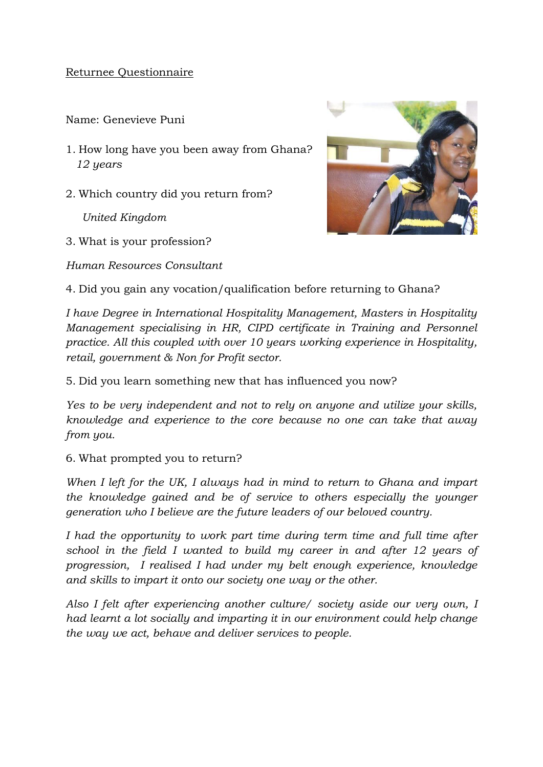## Returnee Questionnaire

Name: Genevieve Puni

- 1. How long have you been away from Ghana?  *12 years*
- 2. Which country did you return from?

*United Kingdom*

3. What is your profession?

*Human Resources Consultant*



4. Did you gain any vocation/qualification before returning to Ghana?

*I have Degree in International Hospitality Management, Masters in Hospitality Management specialising in HR, CIPD certificate in Training and Personnel practice. All this coupled with over 10 years working experience in Hospitality, retail, government & Non for Profit sector.* 

5. Did you learn something new that has influenced you now?

*Yes to be very independent and not to rely on anyone and utilize your skills, knowledge and experience to the core because no one can take that away from you.* 

## 6. What prompted you to return?

*When I left for the UK, I always had in mind to return to Ghana and impart the knowledge gained and be of service to others especially the younger generation who I believe are the future leaders of our beloved country.* 

*I had the opportunity to work part time during term time and full time after school in the field I wanted to build my career in and after 12 years of progression, I realised I had under my belt enough experience, knowledge and skills to impart it onto our society one way or the other.* 

*Also I felt after experiencing another culture/ society aside our very own, I had learnt a lot socially and imparting it in our environment could help change the way we act, behave and deliver services to people.*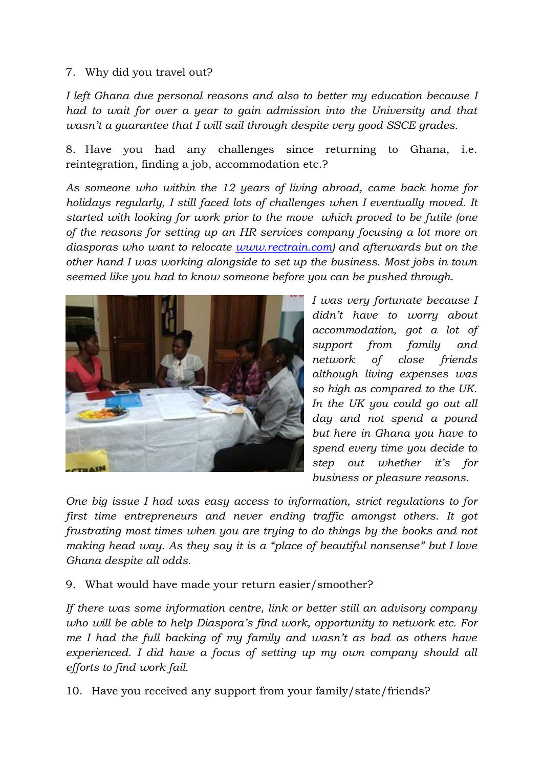## 7. Why did you travel out?

*I left Ghana due personal reasons and also to better my education because I had to wait for over a year to gain admission into the University and that wasn't a guarantee that I will sail through despite very good SSCE grades.* 

8. Have you had any challenges since returning to Ghana, i.e. reintegration, finding a job, accommodation etc.?

*As someone who within the 12 years of living abroad, came back home for holidays regularly, I still faced lots of challenges when I eventually moved. It started with looking for work prior to the move which proved to be futile (one of the reasons for setting up an HR services company focusing a lot more on diasporas who want to relocate [www.rectrain.com\)](http://www.rectrain.com/) and afterwards but on the other hand I was working alongside to set up the business. Most jobs in town seemed like you had to know someone before you can be pushed through.* 



*I was very fortunate because I didn't have to worry about accommodation, got a lot of support from family and network of close friends although living expenses was so high as compared to the UK. In the UK you could go out all day and not spend a pound but here in Ghana you have to spend every time you decide to step out whether it's for business or pleasure reasons.* 

*One big issue I had was easy access to information, strict regulations to for first time entrepreneurs and never ending traffic amongst others. It got frustrating most times when you are trying to do things by the books and not making head way. As they say it is a "place of beautiful nonsense" but I love Ghana despite all odds.* 

## 9. What would have made your return easier/smoother?

*If there was some information centre, link or better still an advisory company who will be able to help Diaspora's find work, opportunity to network etc. For me I had the full backing of my family and wasn't as bad as others have experienced. I did have a focus of setting up my own company should all efforts to find work fail.* 

10. Have you received any support from your family/state/friends?